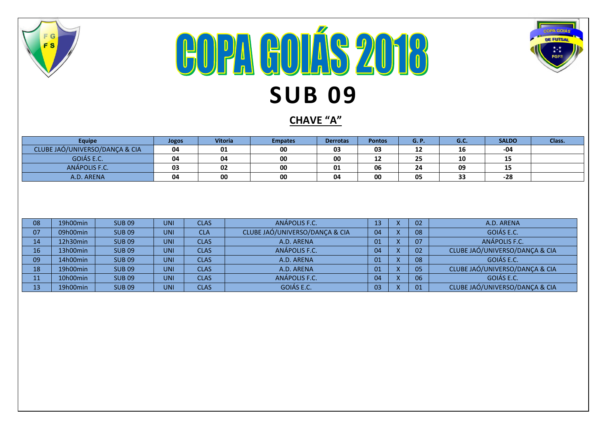

## **COPA GOLÁS 2018 SUB 09**



**CHAVE "A"**

| <b>Equipe</b>                  |          |               | Jogos      | <b>Vitoria</b> |                                                  | <b>Empates</b> | <b>Derrotas</b> | <b>Pontos</b> |              | <b>G.P.</b> | G.C.                           | <b>SALDO</b> | Class. |
|--------------------------------|----------|---------------|------------|----------------|--------------------------------------------------|----------------|-----------------|---------------|--------------|-------------|--------------------------------|--------------|--------|
| CLUBE JAÓ/UNIVERSO/DANÇA & CIA |          |               | 04         | 01             |                                                  | 00             | 03              | 03            |              | 12          | 16                             | -04          |        |
| GOIÁS E.C.                     |          |               | 04         | 04             |                                                  | 00             | 00              | 12            |              | 25          | 10                             | 15           |        |
| ANÁPOLIS F.C.                  |          | 03            | 02         |                | 00                                               | 01             | 06              |               | 24           | 09          | 15                             |              |        |
| A.D. ARENA                     |          | 04            | 00         |                | 00                                               | 04             | 00              |               | 05           | 33          | $-28$                          |              |        |
| 08                             | 19h00min | <b>SUB09</b>  | <b>UNI</b> | <b>CLAS</b>    |                                                  | ANÁPOLIS F.C.  |                 | 13            | X            | 02          |                                | A.D. ARENA   |        |
| 07                             | 09h00min | <b>SUB09</b>  | <b>UNI</b> | <b>CLA</b>     | CLUBE JAÓ/UNIVERSO/DANÇA & CIA<br>04<br>X.<br>08 |                | GOIÁS E.C.      |               |              |             |                                |              |        |
| 14                             | 12h30min | <b>SUB09</b>  | <b>UNI</b> | <b>CLAS</b>    |                                                  | A.D. ARENA     |                 | 01            | X.           | 07          | ANÁPOLIS F.C.                  |              |        |
| 16                             | 13h00min | <b>SUB09</b>  | <b>UNI</b> | <b>CLAS</b>    |                                                  | ANÁPOLIS F.C.  |                 | 04            | $\mathsf{X}$ | 02          | CLUBE JAÓ/UNIVERSO/DANÇA & CIA |              |        |
| 09                             | 14h00min | <b>SUB09</b>  | <b>UNI</b> | <b>CLAS</b>    |                                                  | A.D. ARENA     |                 | 01            | X.           | 08          | GOIÁS E.C.                     |              |        |
| 18                             | 19h00min | <b>SUB09</b>  | <b>UNI</b> | <b>CLAS</b>    |                                                  | A.D. ARENA     |                 | 01            | X.           | 05          | CLUBE JAÓ/UNIVERSO/DANÇA & CIA |              |        |
| 11                             | 10h00min | <b>SUB 09</b> | <b>UNI</b> | <b>CLAS</b>    |                                                  | ANÁPOLIS F.C.  |                 | 04            | X.           | 06          | GOIÁS E.C.                     |              |        |
| 13                             | 19h00min | <b>SUB09</b>  | <b>UNI</b> | <b>CLAS</b>    |                                                  | GOIÁS E.C.     |                 | 03            | X.           | 01          | CLUBE JAÓ/UNIVERSO/DANÇA & CIA |              |        |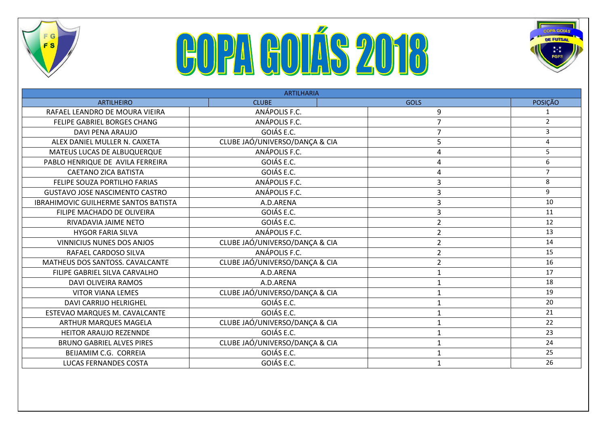

## **COPA GOLÁS 2018**



| <b>ARTILHARIA</b>                           |                                |                |                |  |  |  |  |  |  |
|---------------------------------------------|--------------------------------|----------------|----------------|--|--|--|--|--|--|
| <b>ARTILHEIRO</b>                           | <b>CLUBE</b>                   | <b>GOLS</b>    | POSIÇÃO        |  |  |  |  |  |  |
| RAFAEL LEANDRO DE MOURA VIEIRA              | ANÁPOLIS F.C.                  | 9              |                |  |  |  |  |  |  |
| FELIPE GABRIEL BORGES CHANG                 | ANÁPOLIS F.C.                  | 7              | $\overline{2}$ |  |  |  |  |  |  |
| <b>DAVI PENA ARAUJO</b>                     | GOIÁS E.C.                     | 7              | 3              |  |  |  |  |  |  |
| ALEX DANIEL MULLER N. CAIXETA               | CLUBE JAÓ/UNIVERSO/DANÇA & CIA | 5              | 4              |  |  |  |  |  |  |
| MATEUS LUCAS DE ALBUQUERQUE                 | ANÁPOLIS F.C.                  | 4              | 5              |  |  |  |  |  |  |
| PABLO HENRIQUE DE AVILA FERREIRA            | GOIÁS E.C.                     | 4              | 6              |  |  |  |  |  |  |
| <b>CAETANO ZICA BATISTA</b>                 | GOIÁS E.C.                     | 4              | $\overline{7}$ |  |  |  |  |  |  |
| FELIPE SOUZA PORTILHO FARIAS                | ANÁPOLIS F.C.                  | 3              | 8              |  |  |  |  |  |  |
| <b>GUSTAVO JOSE NASCIMENTO CASTRO</b>       | ANÁPOLIS F.C.                  | 3              | 9              |  |  |  |  |  |  |
| <b>IBRAHIMOVIC GUILHERME SANTOS BATISTA</b> | A.D.ARENA                      | 3              | 10             |  |  |  |  |  |  |
| FILIPE MACHADO DE OLIVEIRA                  | GOIÁS E.C.                     | 3              | 11             |  |  |  |  |  |  |
| RIVADAVIA JAIME NETO                        | GOIÁS E.C.                     | 2              | 12             |  |  |  |  |  |  |
| <b>HYGOR FARIA SILVA</b>                    | ANÁPOLIS F.C.                  | $\overline{2}$ | 13             |  |  |  |  |  |  |
| <b>VINNICIUS NUNES DOS ANJOS</b>            | CLUBE JAÓ/UNIVERSO/DANÇA & CIA | $\overline{2}$ | 14             |  |  |  |  |  |  |
| RAFAEL CARDOSO SILVA                        | ANÁPOLIS F.C.                  | $\overline{2}$ | 15             |  |  |  |  |  |  |
| MATHEUS DOS SANTOSS. CAVALCANTE             | CLUBE JAÓ/UNIVERSO/DANÇA & CIA | $\overline{2}$ | 16             |  |  |  |  |  |  |
| FILIPE GABRIEL SILVA CARVALHO               | A.D.ARENA                      | 1              | 17             |  |  |  |  |  |  |
| <b>DAVI OLIVEIRA RAMOS</b>                  | A.D.ARENA                      | $\mathbf{1}$   | 18             |  |  |  |  |  |  |
| <b>VITOR VIANA LEMES</b>                    | CLUBE JAÓ/UNIVERSO/DANÇA & CIA | 1              | 19             |  |  |  |  |  |  |
| <b>DAVI CARRIJO HELRIGHEL</b>               | GOIÁS E.C.                     | 1              | 20             |  |  |  |  |  |  |
| ESTEVAO MARQUES M. CAVALCANTE               | GOIÁS E.C.                     | 1              | 21             |  |  |  |  |  |  |
| <b>ARTHUR MARQUES MAGELA</b>                | CLUBE JAÓ/UNIVERSO/DANÇA & CIA | 1              | 22             |  |  |  |  |  |  |
| HEITOR ARAUJO REZENNDE                      | GOIÁS E.C.                     | 1              | 23             |  |  |  |  |  |  |
| <b>BRUNO GABRIEL ALVES PIRES</b>            | CLUBE JAÓ/UNIVERSO/DANÇA & CIA | 1              | 24             |  |  |  |  |  |  |
| BEIJAMIM C.G. CORREIA                       | GOIÁS E.C.                     | 1              | 25             |  |  |  |  |  |  |
| <b>LUCAS FERNANDES COSTA</b>                | GOIÁS E.C.                     | 1              | 26             |  |  |  |  |  |  |